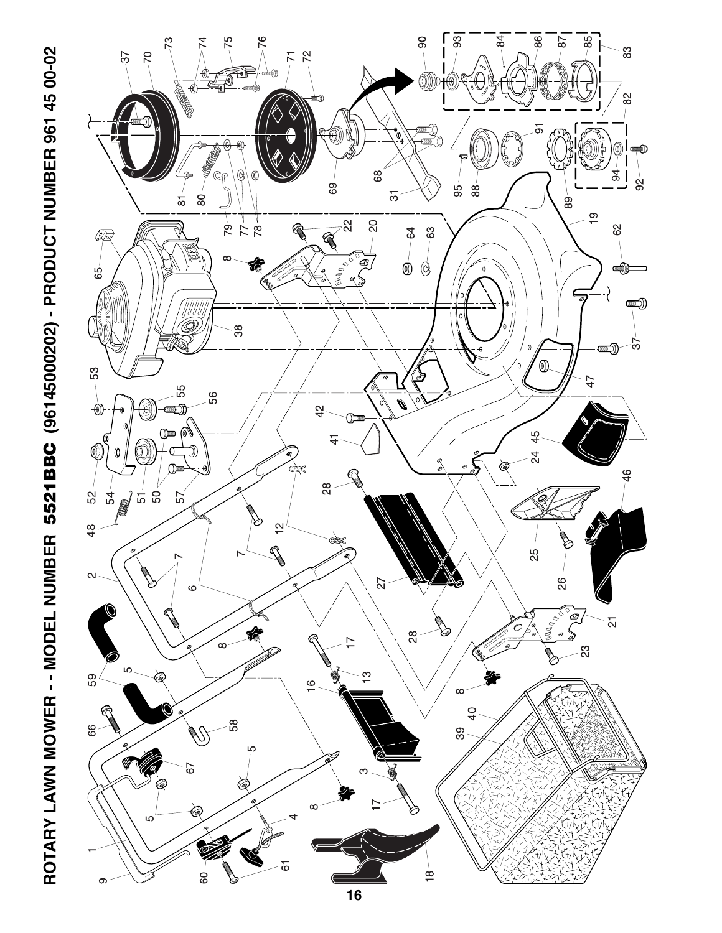

ROTARY LAWN MOWER - - MODEL NUMBER 5521BBC (96145000202) - PRODUCT NUMBER 961 45 00-02 **ROTARY LAWN MOWER - - MODEL NUMBER 5521BBC (96145000202) - PRODUCT NUMBER 961 45 00-02**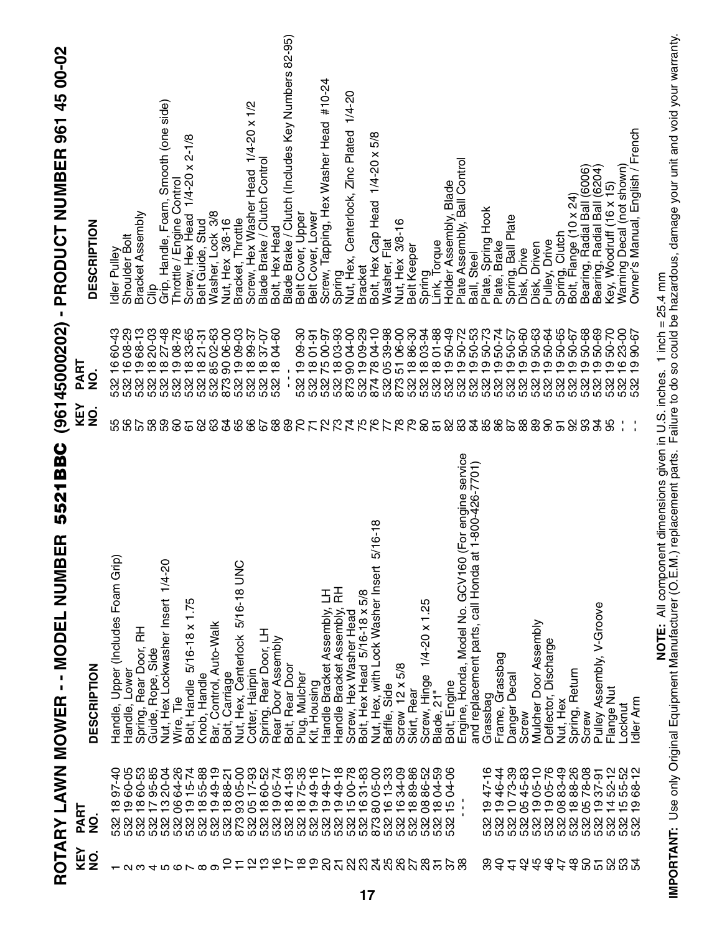**IMPORTANT:** Use only Original Equipment Manufacturer (O.E.M.) replacement parts. Failure to do so could be hazardous, damage your unit and void your warranty.<br>IMPORTANT: Use only Original Equipment Manufacturer (O.E.M.) r **IMPORTANT:** Use only Original Equipment Manufacturer (O.E.M.) replacement parts. Failure to do so could be hazardous, damage your unit and void your warranty.**NOTE:** All component dimensions given in U.S. inches. 1 inch = 25.4 mm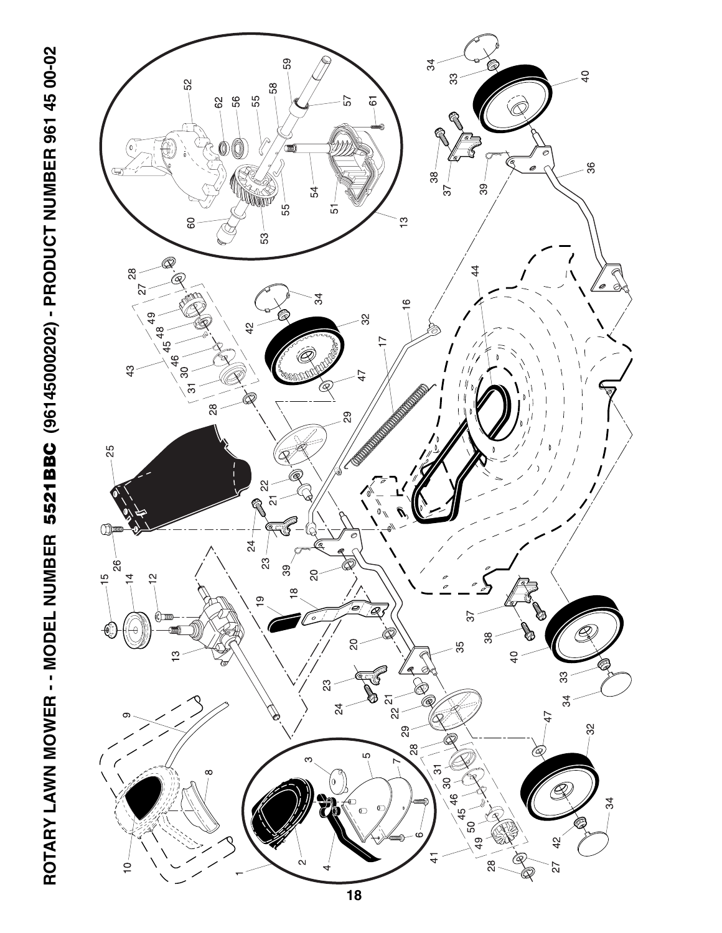

ROTARY LAWN MOWER - - MODEL NUMBER 5521BBC (96145000202) - PRODUCT NUMBER 961 45 00-02 **ROTARY LAWN MOWER - - MODEL NUMBER 5521BBC (96145000202) - PRODUCT NUMBER 961 45 00-02**